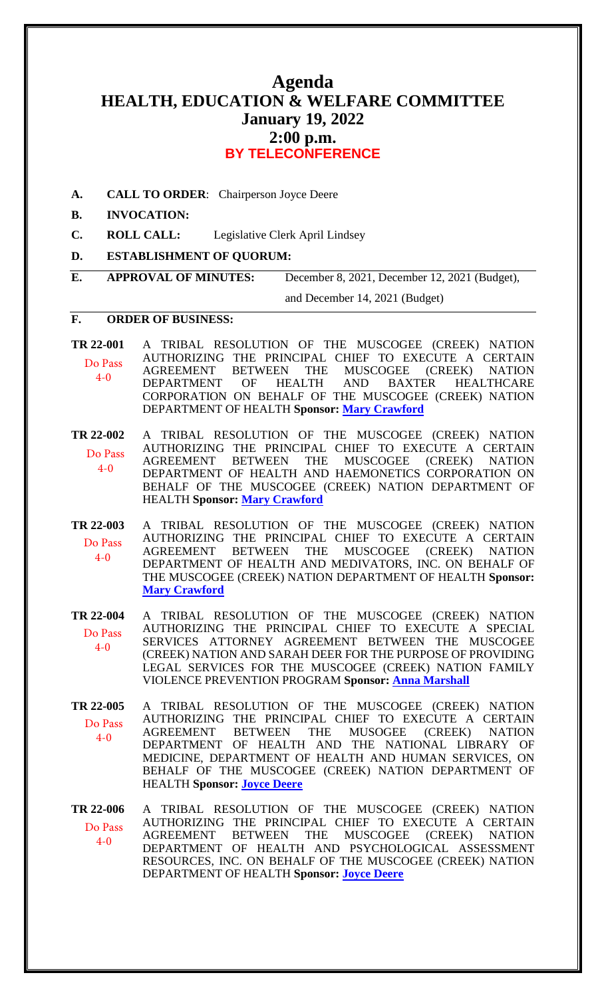# **Agenda HEALTH, EDUCATION & WELFARE COMMITTEE January 19, 2022 2:00 p.m. BY TELECONFERENCE**

**A. CALL TO ORDER**: Chairperson Joyce Deere

#### **B. INVOCATION:**

- **C. ROLL CALL:** Legislative Clerk April Lindsey
- **D. ESTABLISHMENT OF QUORUM:**
- **E. APPROVAL OF MINUTES:** December 8, 2021, December 12, 2021 (Budget),

and December 14, 2021 (Budget)

#### **F. ORDER OF BUSINESS:**

**[TR 22-001](bills/22-001.pdf)** A TRIBAL RESOLUTION OF THE MUSCOGEE (CREEK) NATION AUTHORIZING THE PRINCIPAL CHIEF TO EXECUTE A CERTAIN AGREEMENT BETWEEN THE MUSCOGEE (CREEK) NATION<br>DEPARTMENT OF HEALTH AND BAXTER HEALTHCARE DEPARTMENT OF HEALTH AND BAXTER HEALTHCARE CORPORATION ON BEHALF OF THE MUSCOGEE (CREEK) NATION DEPARTMENT OF HEALTH **Sponsor: [Mary Crawford](mailto:mcrawford@mcn-nsn.gov)** Do Pass 4-0

**[TR 22-002](bills/22-002.pdf)** A TRIBAL RESOLUTION OF THE MUSCOGEE (CREEK) NATION AUTHORIZING THE PRINCIPAL CHIEF TO EXECUTE A CERTAIN AGREEMENT BETWEEN THE MUSCOGEE (CREEK) NATION DEPARTMENT OF HEALTH AND HAEMONETICS CORPORATION ON BEHALF OF THE MUSCOGEE (CREEK) NATION DEPARTMENT OF HEALTH **Sponsor: [Mary Crawford](mailto:mcrawford@mcn-nsn.gov)** Do Pass 4-0

**[TR 22-003](bills/22-003.pdf)** A TRIBAL RESOLUTION OF THE MUSCOGEE (CREEK) NATION AUTHORIZING THE PRINCIPAL CHIEF TO EXECUTE A CERTAIN AGREEMENT BETWEEN THE MUSCOGEE (CREEK) NATION DEPARTMENT OF HEALTH AND MEDIVATORS, INC. ON BEHALF OF THE MUSCOGEE (CREEK) NATION DEPARTMENT OF HEALTH **Sponsor: [Mary Crawford](mailto:mcrawford@mcn-nsn.gov)** Do Pass 4-0

**[TR 22-004](bills/22-004.pdf)** A TRIBAL RESOLUTION OF THE MUSCOGEE (CREEK) NATION AUTHORIZING THE PRINCIPAL CHIEF TO EXECUTE A SPECIAL SERVICES ATTORNEY AGREEMENT BETWEEN THE MUSCOGEE (CREEK) NATION AND SARAH DEER FOR THE PURPOSE OF PROVIDING LEGAL SERVICES FOR THE MUSCOGEE (CREEK) NATION FAMILY VIOLENCE PREVENTION PROGRAM **Sponsor: [Anna Marshall](mailto:amarshall@mcn-nsn.gov)** Do Pass 4-0

**[TR 22-005](bills/22-005.pdf)** A TRIBAL RESOLUTION OF THE MUSCOGEE (CREEK) NATION AUTHORIZING THE PRINCIPAL CHIEF TO EXECUTE A CERTAIN AGREEMENT BETWEEN THE MUSOGEE (CREEK) NATION DEPARTMENT OF HEALTH AND THE NATIONAL LIBRARY OF MEDICINE, DEPARTMENT OF HEALTH AND HUMAN SERVICES, ON BEHALF OF THE MUSCOGEE (CREEK) NATION DEPARTMENT OF HEALTH **Sponsor: [Joyce Deere](mailto:jcdeere@mcn-nsn.gov)** Do Pass 4-0

**[TR 22-006](bills/22-006.pdf)** A TRIBAL RESOLUTION OF THE MUSCOGEE (CREEK) NATION AUTHORIZING THE PRINCIPAL CHIEF TO EXECUTE A CERTAIN AGREEMENT BETWEEN THE MUSCOGEE (CREEK) NATION AGREEMENT BETWEEN THE MUSCOGEE (CREEK) NATION DEPARTMENT OF HEALTH AND PSYCHOLOGICAL ASSESSMENT RESOURCES, INC. ON BEHALF OF THE MUSCOGEE (CREEK) NATION DEPARTMENT OF HEALTH **Sponsor: [Joyce Deere](mailto:jcdeere@mcn-nsn.gov)** Do Pass  $4-0$